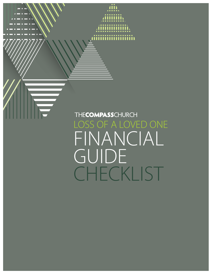THECOMPASSCHURCH LOSS OF A LOVED ONE FINANCIAL GUIDE CHECKLIST

mmn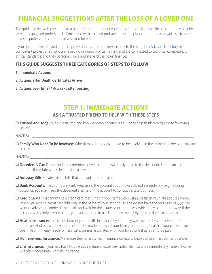## **FINANCIAL SUGGESTIONS AFTER THE LOSS OF A LOVED ONE**

The guidance below is presented as a general starting point for your consideration. Your specific situation may best be served by qualified professionals. Consulting with certified probate and estate planning attorneys as well as a trusted financial professional could prove wise and helpful.

If you do not have a trusted financial professional, you can follow this link to the [Kingdom Advisors Directory](https://kingdomadvisors.com/find-a-professional/directory-search) of competent professionals who are receiving ongoing biblical training and are committed to technical competency, ethical standards, and they personally give and steward their own finances.

### **THIS GUIDE SUGGESTS THREE CATEGORIES OF STEPS TO FOLLOW**

- **1. Immediate Actions**
- **2. Actions after Death Certificates Arrive**
- **3. Actions over time (4-6 weeks after passing)**

## **STEP 1: IMMEDIATE ACTIONS ASK A TRUSTED FRIEND TO HELP WITH THESE STEPS**

❑ **Trusted Advisor(s):** Who is a trusted and knowledgeable friend or advisor to help think through these following issues?

NAME(S): \_\_\_\_\_\_\_\_\_\_\_\_\_\_\_\_\_\_\_\_\_\_\_\_\_\_\_\_\_\_\_\_\_\_\_\_\_\_\_\_\_\_\_\_\_\_\_\_\_\_\_\_\_\_\_\_\_\_\_\_\_\_\_\_\_\_\_\_\_\_\_\_\_\_\_\_\_\_

❑ **Family Who Need To Be Involved:** Who (family, friends, etc.) need to be involved in the immediate decision-making process?

NAME(S): \_\_\_\_\_\_\_\_\_\_\_\_\_\_\_\_\_\_\_\_\_\_\_\_\_\_\_\_\_\_\_\_\_\_\_\_\_\_\_\_\_\_\_\_\_\_\_\_\_\_\_\_\_\_\_\_\_\_\_\_\_\_\_\_\_\_\_\_\_\_\_\_\_\_\_\_\_\_\_

- **Decedent's Car:** Do not let family members drive a car that was solely titled to the decedent. Should an accident happen, the estate would be at risk of a lawsuit.
- ❑ **Autopay Bills:** Create a list of bills that are paid automatically.
- ❑ **Bank Accounts:** If accounts are joint, keep using the account as your own. Do not immediately begin closing accounts. You may need the decedent's name on the account to conduct estate business.
- ❑ **Credit Cards**: You cannot use a credit card that is not in your name. Stop using plastic in your late spouse's name. When you receive credit card bills only in the name of your late spouse and do not have the means to pay, you will want to advise the lender of the death and wait for the estate probate process, which may be months away. If the account was jointly in your name, you can continue to use it and pay the bill by the due date each month.
- ❑ **Health Insurance:** Check the status of your health insurance if your family was covered by your loved one's employer. Find out what changes need to be made to ensure your family's continuing health insurance. Keep an open file within easy reach for medical expenses associated with your loved one that is yet to be paid.
- ❑ **Homeowners Insurance:** Make sure the homeowners' insurance company knows of death as soon as possible.
- ❑ **Life Insurance:** If you may have trouble paying funeral expenses, notify life insurance immediately. Funeral homes will often coordinate with life insurance.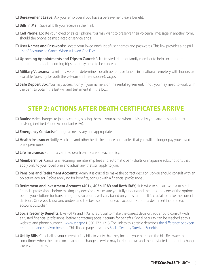- ❑ **Bereavement Leave:** Ask your employer if you have a bereavement leave benefit.
- ❑ **Bills in Mail:** Save all bills you receive in the mail.
- ❑ **Cell Phone:** Locate your loved one's cell phone. You may want to preserve their voicemail message in another form, should the phone be misplaced or service ends.
- ❑ **User Names and Passwords:** Locate your loved one's list of user names and passwords. This link provides a helpful [List of Accounts to Cancel When A Loved One Dies.](https://www.usurnsonline.com/planning-ahead/accounts-cancel-loved-one-dies/)
- ❑ **Upcoming Appointments and Trips to Cancel:** Ask a trusted friend or family member to help sort through appointments and upcoming trips that may need to be canceled.
- ❑ **Military Veterans:** If a military veteran, determine if death benefits or funeral in a national cemetery with honors are available (possibly for both the veteran and their spouse). va.gov
- Safe Deposit Box: You may access it only if your name is on the rental agreement. If not, you may need to work with the bank to obtain the last will and testament if in the box.

## **STEP 2: ACTIONS AFTER DEATH CERTIFICATES ARRIVE**

- ❑ **Banks:** Make changes to joint accounts, placing them in your name when advised by your attorney and or tax advising Certified Public Accountant (CPA).
- ❑ **Emergency Contacts:** Change as necessary and appropriate.
- ❑ **Health Insurance:** Notify Medicare and other health insurance companies that you will no longer pay your loved one's premiums.
- ❑ **Life Insurance:** Submit a certified death certificate for each policy.
- ❑ **Memberships:** Cancel any recurring membership fees and automatic bank drafts or magazine subscriptions that apply only to your loved one and adjust any that still apply to you.
- ❑ **Pensions and Retirement Accounts:** Again, it is crucial to make the correct decision, so you should consult with an objective advisor. Before applying for benefits, consult with a financial professional.
- ❑ **Retirement and Investment Accounts (401k, 403b, IRA's and Roth IRA's):** It is wise to consult with a trusted financial professional before making any decisions. Make sure you fully understand the pros and cons of the options before you. Options for transferring these accounts will vary based on your situation. It is crucial to make the correct decision. Once you know and understand the best solution for each account, submit a death certificate to each account custodian.
- ❑ **Social Security Benefits:** Like 401K's and IRA's, it is crucial to make the correct decision. You should consult with a trusted financial professional before contacting social security for benefits. Social Security can be reached at this website and phone number - [www.ssa.gov](https://www.ssa.gov) 1-800-772-1213. The link to this article describes [the difference between](https://maximizemysocialsecurity.com/how-do-i-choose-between-survivor-and-retirement-benefits)  [retirement and survivor benefits](https://maximizemysocialsecurity.com/how-do-i-choose-between-survivor-and-retirement-benefits). This linked page describes [Social Security Survivor Benefits](https://www.ssa.gov/benefits/survivors/)**.**
- ❑ **Utility Bills:** Check all of your current utility bills to verify that they include your name on the bill. Be aware that sometimes when the name on an account changes, service may be shut down and then restarted in order to change the account name.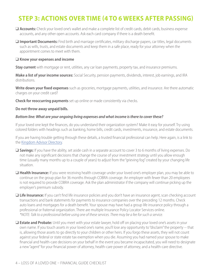# **STEP 3: ACTIONS OVER TIME (4 TO 6 WEEKS AFTER PASSING)**

- ❑ **Accounts:** Check your loved one's wallet and make a complete list of credit cards, debit cards, business expense accounts, and any other open accounts. Ask each card company if there is a death benefit.
- ❑ **Important Documents:** Find birth and marriage certificates, military discharge papers, car titles, legal documents such as wills, trusts, and estate documents and keep them in a safe place, ready for your attorney when the appointment comes to meet with them.

#### ❑ **Know your expenses and income**

**Stay current** with mortgage or rent, utilities, any car loan payments, property tax, and insurance premiums.

**Make a list of your income sources:** Social Security, pension payments, dividends, interest, job earnings, and IRA distributions.

**Write down your fixed expenses** such as groceries, mortgage payments, utilities, and insurance. Are there automatic charges on your credit card?

**Check for reoccurring payments** set up online or made consistently via checks.

#### **Do not throw away unpaid bills.**

#### *Bottom line: What are your ongoing living expenses and what income is there to cover these?*

If your loved one kept the finances, do you understand their organization system? Make it easy for yourself. Try using colored folders with headings such as banking, home bills, credit cards, investments, insurance, and estate documents.

If you are having trouble getting through these details, a trusted financial professional can help. Here again, is a link to the [Kingdom Advisor Directory](https://kingdomadvisors.com/find-a-professional/directory-search).

- ❑ **Savings:** If you have the ability, set aside cash in a separate account to cover 3 to 6 months of living expenses. Do not make any significant decisions that change the course of your investment strategy until you allow enough time (usually many months up to a couple of years) to adjust from the "grieving fog" created by your changing life situation.
- ❑ **Health Insurance:** If you were receiving health coverage under your loved one's employer plan, you may be able to continue on the group plan for 36 months through COBRA coverage. An employer with fewer than 20 employees is not required to provide COBRA coverage. Ask the plan administrator if the company will continue picking up the employer's premium subsidy.
- ❑ **Life Insurance:** If you can't find life insurance policies and you don't have an insurance agent, scan checking account transactions and bank statements for payments to insurance companies over the preceding 12 months. Check auto loans and mortgages for a death benefit. Your spouse may have had a group life insurance policy through a professional or fraternal organization. There are multiple Insurance Policy Locator Services online. *\*NOTE: Talk to a professional before using one of these services. There may be a fee for such a service.*
- □ **Estate and Probate:** Until you meet with your estate lawyer, hold off on placing your loved one's assets in your own name. If you touch assets in your loved one's name, you'll lose any opportunity to "disclaim" the property -- that is, allowing those assets to go directly to your children or other heirs. If you forgo these assets, they will not count against your federal or state estate tax exemption when you die. Assuming you had named your spouse to make financial and health-care decisions on your behalf in the event you became incapacitated, you will need to designate a new "agent" for your financial power of attorney, health-care power of attorney, and a health-care directive.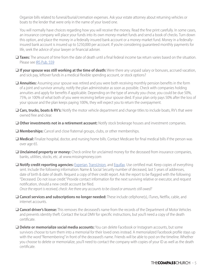Organize bills related to funeral/burial/cremation expenses. Ask your estate attorney about returning vehicles or boats to the lender that were only in the name of your loved one.

You will normally have choices regarding how you will receive the money. Read the fine print carefully. In some cases, an insurance company will place your funds into its own money-market funds and send a book of checks. Turn down this option, and place the money in a federally insured bank account or a money-market fund. Money in a federallyinsured bank account is insured up to \$250,000 per account. If you're considering guaranteed monthly payments for life, seek the advice of your lawyer or financial adviser.

- ❑ **Taxes:** The amount of time from the date of death until a final federal income tax return varies based on the situation. Please see [IRS Pub. 559](https://www.irs.gov/publications/p559)
- ❑ **If your spouse was still working at the time of death:** Were there any unpaid salary or bonuses, accrued vacation, and sick pay, leftover funds in a medical flexible spending account, or stock options?

❑ **Annuities:** Assuming your spouse was retired and you were both receiving monthly pension benefits in the form of a joint and survivor annuity, notify the plan administrator as soon as possible. Check with companies holding annuities and apply for benefits if applicable. Depending on the type of annuity you chose, you could be due 50%, 75%, or 100% of what both of you were receiving before your spouse died. If your plan only pays 50% after the loss of your spouse and the plan keeps paying 100%, they will expect you to return the overpayment.

- ❑ **Cars, trucks, boats & RV's:** Notify the motor vehicle department and change titles to include boats, RV's that were owned free and clear.
- ❑ **Other investments not in a retirement account:** Notify stock brokerage houses and investment companies.
- ❑ **Memberships:** Cancel and close fraternal groups, clubs, or other memberships.
- ❑ **Medical:** Finalize hospital, doctor, and nursing home bills. Contact Medicare for final medical bills if the person was over age 65.
- ❑ **Unclaimed property or money:** Check online for unclaimed money for the deceased from insurance companies, banks, utilities, stocks, etc. at www.missingmoney.com
- ❑ **Notify credit reporting agencies:** [Experian](https://www.experian.com), [TransUnion](https://www.transunion.com), and [Equifax.](https://www.equifax.com/personal/) Use certified mail. Keep copies of everything sent. Include the following information: Name & Social Security number of deceased, last 5 years of addresses, date of birth & date of death. Request a copy of their credit report. Ask the report to be flagged with the following: "Deceased. Do not issue credit." Provide contact information for the next surviving relative or executor, and request notification, should a new credit account be filed.

*Once the report is received, check: Are there any accounts to be closed or amounts still owed?*

- ❑ **Cancel services and subscriptions no longer needed:** These include cellphone(s), iTunes, Netflix, cable, and internet accounts.
- ❑ **Cancel driver's license:** This removes the deceased's name from the records of the Department of Motor Vehicles and prevents identity theft. Contact the local DMV for specific instructions, but you'll need a copy of the death certificate.
- ❑ **Delete or memorialize social media accounts:** You can delete Facebook or Instagram accounts, but some survivors choose to turn them into a memorial for their loved ones instead. A memorialized Facebook profile stays up with the word "Remembering" in front of the deceased's name. Friends will be able to post on the timeline. Whether you choose to delete or memorialize, you'll need to contact the company with copies of your ID as well as the death certificate.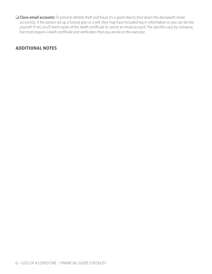❑ **Close email accounts:** To prevent identity theft and fraud, it's a good idea to shut down the deceased's email account(s). If the person set up a funeral plan or a will, they may have included log-in information so you can do this yourself. If not, you'll need copies of the death certificate to cancel an email account. The specifics vary by company, but most require a death certificate and verification that you are kin or the executor.

### **ADDITIONAL NOTES**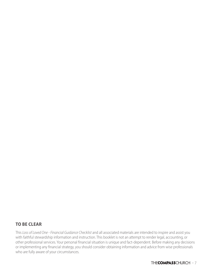### **TO BE CLEAR**

This *Loss of Loved One - Financial Guidance Checklist* and all associated materials are intended to inspire and assist you with faithful stewardship information and instruction. This booklet is not an attempt to render legal, accounting, or other professional services. Your personal financial situation is unique and fact-dependent. Before making any decisions or implementing any financial strategy, you should consider obtaining information and advice from wise professionals who are fully aware of your circumstances.